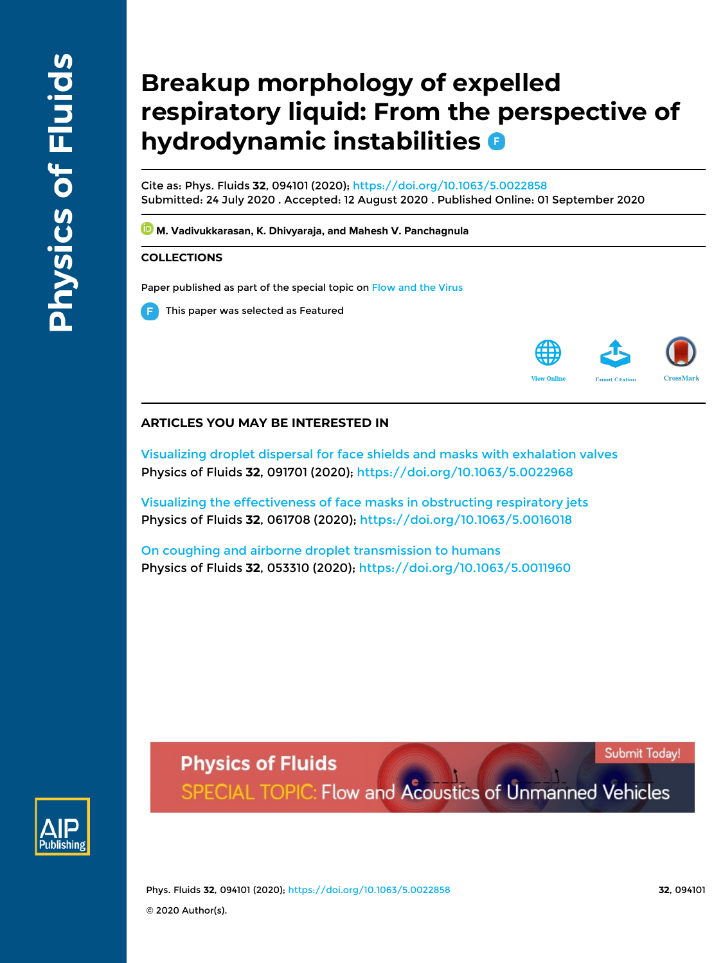# **Breakup morphology of expelled respiratory liquid: From the perspective of hydrodynamic instabilities**

Cite as: Phys. Fluids **32**, 094101 (2020); https://doi.org/10.1063/5.0022858 Submitted: 24 July 2020 . Accepted: 12 August 2020 . Published Online: 01 September 2020

**M. Vadivukkarasan, K. Dhivyaraja, and Mahesh V. Panchagnula** 

# **COLLECTIONS**

Paper published as part of the special topic on Flow and the Virus

This paper was selected as Featured



# **ARTICLES YOU MAY BE INTERESTED IN**

Visualizing droplet dispersal for face shields and masks with exhalation valves Physics of Fluids **32**, 091701 (2020); https://doi.org/10.1063/5.0022968

Visualizing the effectiveness of face masks in obstructing respiratory jets Physics of Fluids **32**, 061708 (2020); https://doi.org/10.1063/5.0016018

On coughing and airborne droplet transmission to humans Physics of Fluids **32**, 053310 (2020); https://doi.org/10.1063/5.0011960



**Physics of Fluids** SPECIAL TOPIC: Flow and Acoustics of Unmanned Vehicles

Phys. Fluids **32**, 094101 (2020); https://doi.org/10.1063/5.0022858 **32**, 094101 © 2020 Author(s).

Submit Today!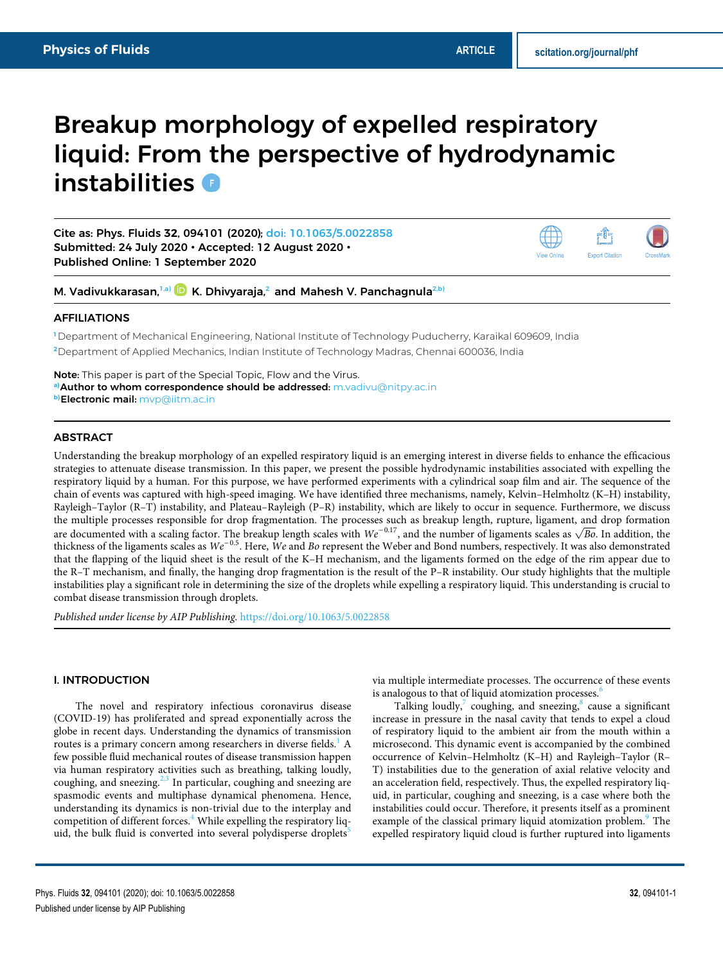# Breakup morphology of expelled respiratory liquid: From the perspective of hydrodynamic instabilities **D**

Cite as: Phys. Fluids **32**, 094101 (2020); doi: 10.1063/5.0022858 Submitted: 24 July 2020 • Accepted: 12 August 2020 • Published Online: 1 September 2020



M. Vadivukkarasan,<sup>1,a)</sup> D K. Dhivyaraja,<sup>2</sup> and Mahesh V. Panchagnula<sup>2,b)</sup>

### AFFILIATIONS

**<sup>1</sup>** Department of Mechanical Engineering, National Institute of Technology Puducherry, Karaikal 609609, India **<sup>2</sup>**Department of Applied Mechanics, Indian Institute of Technology Madras, Chennai 600036, India

Note: This paper is part of the Special Topic, Flow and the Virus. **a)**Author to whom correspondence should be addressed: m.vadivu@nitpy.ac.in **b)**Electronic mail: mvp@iitm.ac.in

### **ABSTRACT**

Understanding the breakup morphology of an expelled respiratory liquid is an emerging interest in diverse fields to enhance the efficacious strategies to attenuate disease transmission. In this paper, we present the possible hydrodynamic instabilities associated with expelling the respiratory liquid by a human. For this purpose, we have performed experiments with a cylindrical soap film and air. The sequence of the chain of events was captured with high-speed imaging. We have identified three mechanisms, namely, Kelvin–Helmholtz (K–H) instability, Rayleigh–Taylor (R–T) instability, and Plateau–Rayleigh (P–R) instability, which are likely to occur in sequence. Furthermore, we discuss the multiple processes responsible for drop fragmentation. The processes such as breakup length, rupture, ligament, and drop formation are documented with a scaling factor. The breakup length scales with  $We^{-0.17}$ , and the number of ligaments scales as  $\sqrt{Bo}$ . In addition, the thickness of the ligaments scales as We<sup>−</sup>0.5. Here, We and Bo represent the Weber and Bond numbers, respectively. It was also demonstrated that the flapping of the liquid sheet is the result of the K–H mechanism, and the ligaments formed on the edge of the rim appear due to the R–T mechanism, and finally, the hanging drop fragmentation is the result of the P–R instability. Our study highlights that the multiple instabilities play a significant role in determining the size of the droplets while expelling a respiratory liquid. This understanding is crucial to combat disease transmission through droplets.

Published under license by AIP Publishing. https://doi.org/10.1063/5.0022858

# I. INTRODUCTION

The novel and respiratory infectious coronavirus disease (COVID-19) has proliferated and spread exponentially across the globe in recent days. Understanding the dynamics of transmission routes is a primary concern among researchers in diverse fields.<sup>1</sup> A few possible fluid mechanical routes of disease transmission happen via human respiratory activities such as breathing, talking loudly, coughing, and sneezing. $2,3$  In particular, coughing and sneezing are spasmodic events and multiphase dynamical phenomena. Hence, understanding its dynamics is non-trivial due to the interplay and competition of different forces. $4$  While expelling the respiratory liquid, the bulk fluid is converted into several polydisperse droplets<sup>5</sup>

via multiple intermediate processes. The occurrence of these events is analogous to that of liquid atomization processes.<sup>6</sup>

Talking loudly, $7$  coughing, and sneezing, $8$  cause a significant increase in pressure in the nasal cavity that tends to expel a cloud of respiratory liquid to the ambient air from the mouth within a microsecond. This dynamic event is accompanied by the combined occurrence of Kelvin–Helmholtz (K–H) and Rayleigh–Taylor (R– T) instabilities due to the generation of axial relative velocity and an acceleration field, respectively. Thus, the expelled respiratory liquid, in particular, coughing and sneezing, is a case where both the instabilities could occur. Therefore, it presents itself as a prominent example of the classical primary liquid atomization problem.<sup>9</sup> The expelled respiratory liquid cloud is further ruptured into ligaments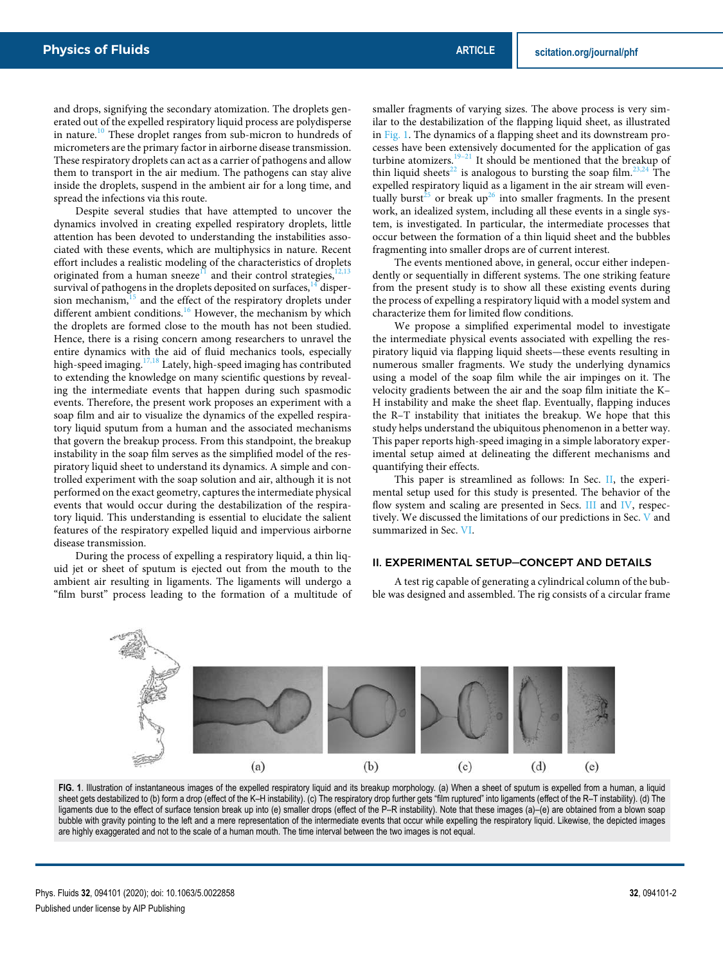and drops, signifying the secondary atomization. The droplets generated out of the expelled respiratory liquid process are polydisperse in nature.<sup>10</sup> These droplet ranges from sub-micron to hundreds of micrometers are the primary factor in airborne disease transmission. These respiratory droplets can act as a carrier of pathogens and allow them to transport in the air medium. The pathogens can stay alive inside the droplets, suspend in the ambient air for a long time, and spread the infections via this route.

Despite several studies that have attempted to uncover the dynamics involved in creating expelled respiratory droplets, little attention has been devoted to understanding the instabilities associated with these events, which are multiphysics in nature. Recent effort includes a realistic modeling of the characteristics of droplets originated from a human sneeze<sup>11</sup> and their control strategies,<sup>12</sup> survival of pathogens in the droplets deposited on surfaces, $14$  dispersion mechanism, $15$  and the effect of the respiratory droplets under different ambient conditions.<sup>16</sup> However, the mechanism by which the droplets are formed close to the mouth has not been studied. Hence, there is a rising concern among researchers to unravel the entire dynamics with the aid of fluid mechanics tools, especially high-speed imaging.<sup>17,18</sup> Lately, high-speed imaging has contributed to extending the knowledge on many scientific questions by revealing the intermediate events that happen during such spasmodic events. Therefore, the present work proposes an experiment with a soap film and air to visualize the dynamics of the expelled respiratory liquid sputum from a human and the associated mechanisms that govern the breakup process. From this standpoint, the breakup instability in the soap film serves as the simplified model of the respiratory liquid sheet to understand its dynamics. A simple and controlled experiment with the soap solution and air, although it is not performed on the exact geometry, captures the intermediate physical events that would occur during the destabilization of the respiratory liquid. This understanding is essential to elucidate the salient features of the respiratory expelled liquid and impervious airborne disease transmission.

During the process of expelling a respiratory liquid, a thin liquid jet or sheet of sputum is ejected out from the mouth to the ambient air resulting in ligaments. The ligaments will undergo a "film burst" process leading to the formation of a multitude of smaller fragments of varying sizes. The above process is very similar to the destabilization of the flapping liquid sheet, as illustrated in Fig. 1. The dynamics of a flapping sheet and its downstream processes have been extensively documented for the application of gas turbine atomizers.<sup>19–21</sup> It should be mentioned that the breakup of thin liquid sheets<sup>22</sup> is analogous to bursting the soap film.<sup>23,24</sup> The expelled respiratory liquid as a ligament in the air stream will eventually burst<sup>25</sup> or break up<sup>26</sup> into smaller fragments. In the present work, an idealized system, including all these events in a single system, is investigated. In particular, the intermediate processes that occur between the formation of a thin liquid sheet and the bubbles fragmenting into smaller drops are of current interest.

The events mentioned above, in general, occur either independently or sequentially in different systems. The one striking feature from the present study is to show all these existing events during the process of expelling a respiratory liquid with a model system and characterize them for limited flow conditions.

We propose a simplified experimental model to investigate the intermediate physical events associated with expelling the respiratory liquid via flapping liquid sheets—these events resulting in numerous smaller fragments. We study the underlying dynamics using a model of the soap film while the air impinges on it. The velocity gradients between the air and the soap film initiate the K– H instability and make the sheet flap. Eventually, flapping induces the R–T instability that initiates the breakup. We hope that this study helps understand the ubiquitous phenomenon in a better way. This paper reports high-speed imaging in a simple laboratory experimental setup aimed at delineating the different mechanisms and quantifying their effects.

This paper is streamlined as follows: In Sec. II, the experimental setup used for this study is presented. The behavior of the flow system and scaling are presented in Secs. III and IV, respectively. We discussed the limitations of our predictions in Sec. V and summarized in Sec. VI.

# II. EXPERIMENTAL SETUP—CONCEPT AND DETAILS

A test rig capable of generating a cylindrical column of the bubble was designed and assembled. The rig consists of a circular frame



**FIG. 1**. Illustration of instantaneous images of the expelled respiratory liquid and its breakup morphology. (a) When a sheet of sputum is expelled from a human, a liquid sheet gets destabilized to (b) form a drop (effect of the K–H instability). (c) The respiratory drop further gets "film ruptured" into ligaments (effect of the R–T instability). (d) The ligaments due to the effect of surface tension break up into (e) smaller drops (effect of the P–R instability). Note that these images (a)–(e) are obtained from a blown soap bubble with gravity pointing to the left and a mere representation of the intermediate events that occur while expelling the respiratory liquid. Likewise, the depicted images are highly exaggerated and not to the scale of a human mouth. The time interval between the two images is not equal.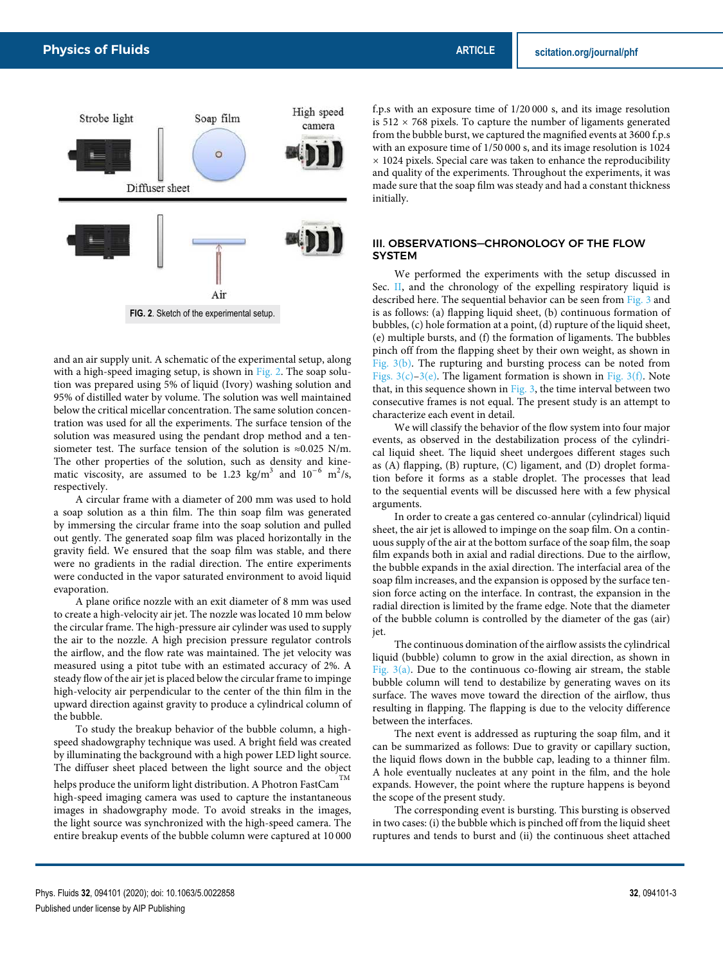

and an air supply unit. A schematic of the experimental setup, along with a high-speed imaging setup, is shown in Fig. 2. The soap solution was prepared using 5% of liquid (Ivory) washing solution and 95% of distilled water by volume. The solution was well maintained below the critical micellar concentration. The same solution concentration was used for all the experiments. The surface tension of the solution was measured using the pendant drop method and a tensiometer test. The surface tension of the solution is ≈0.025 N/m. The other properties of the solution, such as density and kinematic viscosity, are assumed to be 1.23 kg/m<sup>3</sup> and  $10^{-6}$  m<sup>2</sup>/s, respectively.

A circular frame with a diameter of 200 mm was used to hold a soap solution as a thin film. The thin soap film was generated by immersing the circular frame into the soap solution and pulled out gently. The generated soap film was placed horizontally in the gravity field. We ensured that the soap film was stable, and there were no gradients in the radial direction. The entire experiments were conducted in the vapor saturated environment to avoid liquid evaporation.

A plane orifice nozzle with an exit diameter of 8 mm was used to create a high-velocity air jet. The nozzle was located 10 mm below the circular frame. The high-pressure air cylinder was used to supply the air to the nozzle. A high precision pressure regulator controls the airflow, and the flow rate was maintained. The jet velocity was measured using a pitot tube with an estimated accuracy of 2%. A steady flow of the air jet is placed below the circular frame to impinge high-velocity air perpendicular to the center of the thin film in the upward direction against gravity to produce a cylindrical column of the bubble.

To study the breakup behavior of the bubble column, a highspeed shadowgraphy technique was used. A bright field was created by illuminating the background with a high power LED light source. The diffuser sheet placed between the light source and the object

helps produce the uniform light distribution. A Photron FastCam  $^{\rm TM}$ high-speed imaging camera was used to capture the instantaneous images in shadowgraphy mode. To avoid streaks in the images, the light source was synchronized with the high-speed camera. The entire breakup events of the bubble column were captured at 10 000

f.p.s with an exposure time of 1/20 000 s, and its image resolution is  $512 \times 768$  pixels. To capture the number of ligaments generated from the bubble burst, we captured the magnified events at 3600 f.p.s with an exposure time of 1/50 000 s, and its image resolution is 1024  $\times$  1024 pixels. Special care was taken to enhance the reproducibility and quality of the experiments. Throughout the experiments, it was made sure that the soap film was steady and had a constant thickness initially.

#### III. OBSERVATIONS—CHRONOLOGY OF THE FLOW **SYSTEM**

We performed the experiments with the setup discussed in Sec. II, and the chronology of the expelling respiratory liquid is described here. The sequential behavior can be seen from Fig. 3 and is as follows: (a) flapping liquid sheet, (b) continuous formation of bubbles, (c) hole formation at a point, (d) rupture of the liquid sheet, (e) multiple bursts, and (f) the formation of ligaments. The bubbles pinch off from the flapping sheet by their own weight, as shown in Fig. 3(b). The rupturing and bursting process can be noted from Figs.  $3(c)-3(e)$ . The ligament formation is shown in Fig.  $3(f)$ . Note that, in this sequence shown in Fig.  $3$ , the time interval between two consecutive frames is not equal. The present study is an attempt to characterize each event in detail.

We will classify the behavior of the flow system into four major events, as observed in the destabilization process of the cylindrical liquid sheet. The liquid sheet undergoes different stages such as (A) flapping, (B) rupture, (C) ligament, and (D) droplet formation before it forms as a stable droplet. The processes that lead to the sequential events will be discussed here with a few physical arguments.

In order to create a gas centered co-annular (cylindrical) liquid sheet, the air jet is allowed to impinge on the soap film. On a continuous supply of the air at the bottom surface of the soap film, the soap film expands both in axial and radial directions. Due to the airflow, the bubble expands in the axial direction. The interfacial area of the soap film increases, and the expansion is opposed by the surface tension force acting on the interface. In contrast, the expansion in the radial direction is limited by the frame edge. Note that the diameter of the bubble column is controlled by the diameter of the gas (air) jet.

The continuous domination of the airflow assists the cylindrical liquid (bubble) column to grow in the axial direction, as shown in Fig.  $3(a)$ . Due to the continuous co-flowing air stream, the stable bubble column will tend to destabilize by generating waves on its surface. The waves move toward the direction of the airflow, thus resulting in flapping. The flapping is due to the velocity difference between the interfaces.

The next event is addressed as rupturing the soap film, and it can be summarized as follows: Due to gravity or capillary suction, the liquid flows down in the bubble cap, leading to a thinner film. A hole eventually nucleates at any point in the film, and the hole expands. However, the point where the rupture happens is beyond the scope of the present study.

The corresponding event is bursting. This bursting is observed in two cases: (i) the bubble which is pinched off from the liquid sheet ruptures and tends to burst and (ii) the continuous sheet attached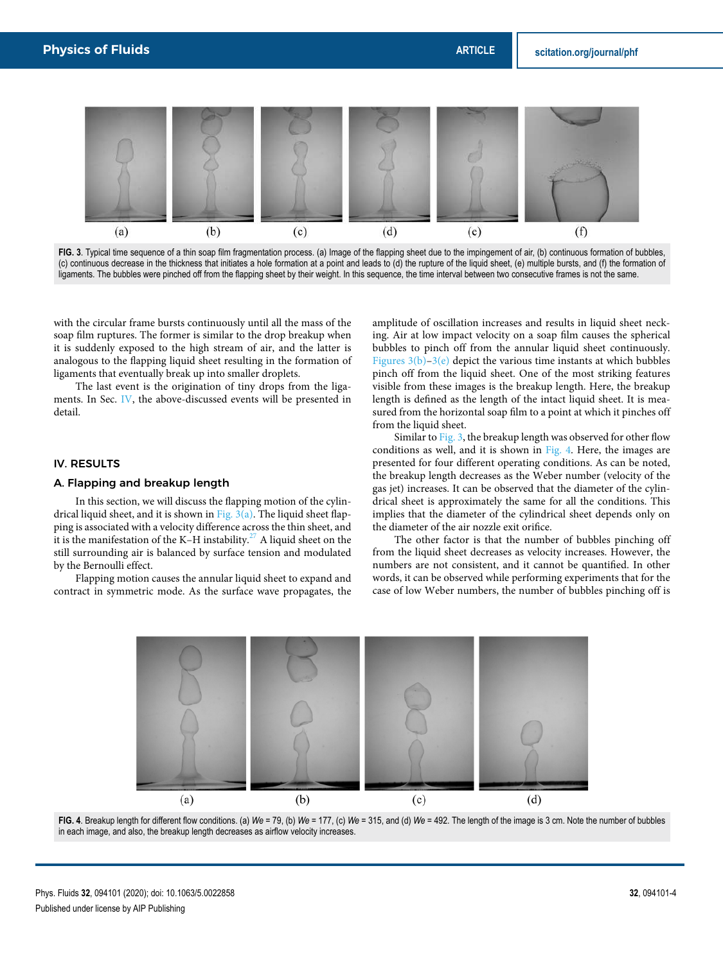

FIG. 3. Typical time sequence of a thin soap film fragmentation process. (a) Image of the flapping sheet due to the impingement of air, (b) continuous formation of bubbles, (c) continuous decrease in the thickness that initiates a hole formation at a point and leads to (d) the rupture of the liquid sheet, (e) multiple bursts, and (f) the formation of ligaments. The bubbles were pinched off from the flapping sheet by their weight. In this sequence, the time interval between two consecutive frames is not the same.

with the circular frame bursts continuously until all the mass of the soap film ruptures. The former is similar to the drop breakup when it is suddenly exposed to the high stream of air, and the latter is analogous to the flapping liquid sheet resulting in the formation of ligaments that eventually break up into smaller droplets.

The last event is the origination of tiny drops from the ligaments. In Sec. IV, the above-discussed events will be presented in detail.

# IV. RESULTS

#### A. Flapping and breakup length

In this section, we will discuss the flapping motion of the cylindrical liquid sheet, and it is shown in Fig. 3(a). The liquid sheet flapping is associated with a velocity difference across the thin sheet, and it is the manifestation of the K–H instability.<sup>27</sup> A liquid sheet on the still surrounding air is balanced by surface tension and modulated by the Bernoulli effect.

Flapping motion causes the annular liquid sheet to expand and contract in symmetric mode. As the surface wave propagates, the amplitude of oscillation increases and results in liquid sheet necking. Air at low impact velocity on a soap film causes the spherical bubbles to pinch off from the annular liquid sheet continuously. Figures  $3(b)-3(e)$  depict the various time instants at which bubbles pinch off from the liquid sheet. One of the most striking features visible from these images is the breakup length. Here, the breakup length is defined as the length of the intact liquid sheet. It is measured from the horizontal soap film to a point at which it pinches off from the liquid sheet.

Similar to Fig. 3, the breakup length was observed for other flow conditions as well, and it is shown in Fig. 4. Here, the images are presented for four different operating conditions. As can be noted, the breakup length decreases as the Weber number (velocity of the gas jet) increases. It can be observed that the diameter of the cylindrical sheet is approximately the same for all the conditions. This implies that the diameter of the cylindrical sheet depends only on the diameter of the air nozzle exit orifice.

The other factor is that the number of bubbles pinching off from the liquid sheet decreases as velocity increases. However, the numbers are not consistent, and it cannot be quantified. In other words, it can be observed while performing experiments that for the case of low Weber numbers, the number of bubbles pinching off is



**FIG. 4**. Breakup length for different flow conditions. (a) *We* = 79, (b) *We* = 177, (c) *We* = 315, and (d) *We* = 492. The length of the image is 3 cm. Note the number of bubbles in each image, and also, the breakup length decreases as airflow velocity increases.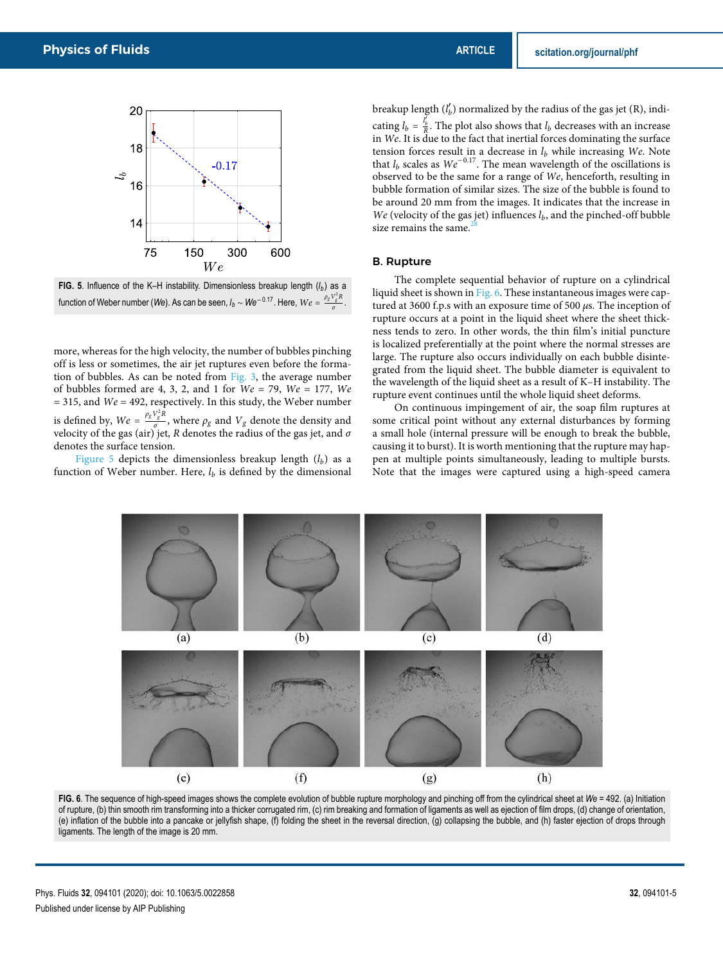

**FIG. 5**. Influence of the K–H instability. Dimensionless breakup length  $(l_b)$  as a function of Weber number (*We*). As can be seen,  $l_b \sim W e^{-0.17}$ . Here,  $W e = \frac{\rho_g V_g^2 R}{\sigma}$ *σ* .

more, whereas for the high velocity, the number of bubbles pinching off is less or sometimes, the air jet ruptures even before the formation of bubbles. As can be noted from Fig. 3, the average number of bubbles formed are 4, 3, 2, and 1 for  $We = 79$ ,  $We = 177$ ,  $We$  $=$  315, and  $We = 492$ , respectively. In this study, the Weber number is defined by,  $We = \frac{\rho_g V_g^2 R}{g}$  $\frac{g}{\sigma}$ , where  $\rho_g$  and  $V_g$  denote the density and velocity of the gas (air) jet, R denotes the radius of the gas jet, and  $\sigma$ denotes the surface tension.

Figure 5 depicts the dimensionless breakup length  $(l_h)$  as a function of Weber number. Here,  $l_b$  is defined by the dimensional

breakup length  $(l'_b)$  normalized by the radius of the gas jet (R), indicating  $l_b = \frac{l_b'}{R}$ . The plot also shows that  $l_b$  decreases with an increase in We. It is due to the fact that inertial forces dominating the surface tension forces result in a decrease in  $l_b$  while increasing We. Note that  $l_b$  scales as  $We^{-0.17}$ . The mean wavelength of the oscillations is observed to be the same for a range of We, henceforth, resulting in bubble formation of similar sizes. The size of the bubble is found to be around 20 mm from the images. It indicates that the increase in We (velocity of the gas jet) influences  $l_b$ , and the pinched-off bubble size remains the same. $2$ 

#### B. Rupture

The complete sequential behavior of rupture on a cylindrical liquid sheet is shown in Fig. 6. These instantaneous images were captured at 3600 f.p.s with an exposure time of 500 *μ*s. The inception of rupture occurs at a point in the liquid sheet where the sheet thickness tends to zero. In other words, the thin film's initial puncture is localized preferentially at the point where the normal stresses are large. The rupture also occurs individually on each bubble disintegrated from the liquid sheet. The bubble diameter is equivalent to the wavelength of the liquid sheet as a result of K–H instability. The rupture event continues until the whole liquid sheet deforms.

On continuous impingement of air, the soap film ruptures at some critical point without any external disturbances by forming a small hole (internal pressure will be enough to break the bubble, causing it to burst). It is worth mentioning that the rupture may happen at multiple points simultaneously, leading to multiple bursts. Note that the images were captured using a high-speed camera



**FIG. 6**. The sequence of high-speed images shows the complete evolution of bubble rupture morphology and pinching off from the cylindrical sheet at *We* = 492. (a) Initiation of rupture, (b) thin smooth rim transforming into a thicker corrugated rim, (c) rim breaking and formation of ligaments as well as ejection of film drops, (d) change of orientation, (e) inflation of the bubble into a pancake or jellyfish shape, (f) folding the sheet in the reversal direction, (g) collapsing the bubble, and (h) faster ejection of drops through ligaments. The length of the image is 20 mm.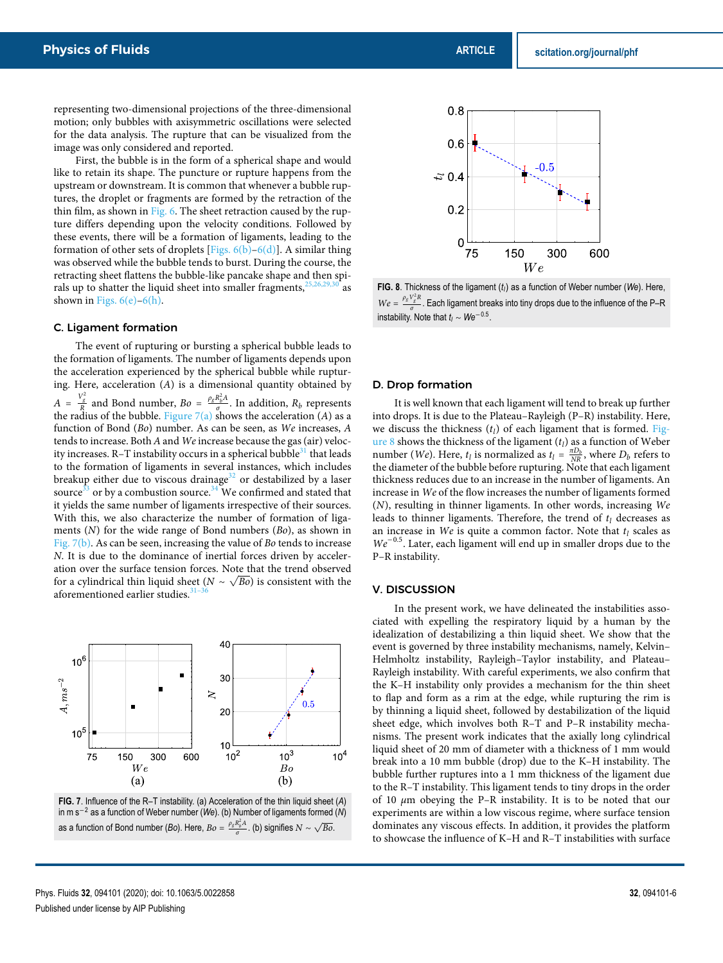representing two-dimensional projections of the three-dimensional motion; only bubbles with axisymmetric oscillations were selected for the data analysis. The rupture that can be visualized from the image was only considered and reported.

First, the bubble is in the form of a spherical shape and would like to retain its shape. The puncture or rupture happens from the upstream or downstream. It is common that whenever a bubble ruptures, the droplet or fragments are formed by the retraction of the thin film, as shown in Fig. 6. The sheet retraction caused by the rupture differs depending upon the velocity conditions. Followed by these events, there will be a formation of ligaments, leading to the formation of other sets of droplets [Figs.  $6(b)$ – $6(d)$ ]. A similar thing was observed while the bubble tends to burst. During the course, the retracting sheet flattens the bubble-like pancake shape and then spirals up to shatter the liquid sheet into smaller fragments, $<sup>2</sup>$ </sup> shown in Figs.  $6(e)$ – $6(h)$ .

#### C. Ligament formation

The event of rupturing or bursting a spherical bubble leads to the formation of ligaments. The number of ligaments depends upon the acceleration experienced by the spherical bubble while rupturing. Here, acceleration  $(A)$  is a dimensional quantity obtained by  $A = \frac{V_g^2}{R}$  and Bond number,  $Bo = \frac{\rho_g R_b^2 A_g}{\sigma}$  $\frac{\alpha_b A}{\sigma}$ . In addition,  $R_b$  represents the radius of the bubble. Figure  $7(a)$  shows the acceleration (A) as a function of Bond (Bo) number. As can be seen, as We increases, A tends to increase. Both A and We increase because the gas (air) velocity increases. R-T instability occurs in a spherical bubble $31$  that leads to the formation of ligaments in several instances, which includes breakup either due to viscous drainage<sup>32</sup> or destabilized by a laser source<sup>33</sup> or by a combustion source.<sup>34</sup> We confirmed and stated that it yields the same number of ligaments irrespective of their sources. With this, we also characterize the number of formation of ligaments  $(N)$  for the wide range of Bond numbers  $(Bo)$ , as shown in Fig. 7(b). As can be seen, increasing the value of Bo tends to increase N. It is due to the dominance of inertial forces driven by acceleration over the surface tension forces. Note that the trend observed for a cylindrical thin liquid sheet  $(N \sim \sqrt{Bo})$  is consistent with the aforementioned earlier studies.<sup>3</sup>



**FIG. 7**. Influence of the R–T instability. (a) Acceleration of the thin liquid sheet (*A*) in m s<sup>−</sup><sup>2</sup> as a function of Weber number (*We*). (b) Number of ligaments formed (*N*) as a function of Bond number (*Bo*). Here,  $Bo = \frac{\rho_g R_b^2 A}{\sigma}$  $\frac{R_b^2 A}{\sigma}$ . (b) signifies  $N \sim \sqrt{Bo}$ .



**FIG. 8**. Thickness of the ligament (*t<sup>l</sup>* ) as a function of Weber number (*We*). Here,  $We = \frac{\rho_g V_g^2 R}{\sigma}$ <u>Γειάτ</u> . Each ligament breaks into tiny drops due to the influence of the P–R instability. Note that  $t_i \sim We^{-0.5}$ .

#### D. Drop formation

It is well known that each ligament will tend to break up further into drops. It is due to the Plateau–Rayleigh (P–R) instability. Here, we discuss the thickness  $(t_l)$  of each ligament that is formed. Figure 8 shows the thickness of the ligament  $(t_l)$  as a function of Weber number (*We*). Here,  $t_l$  is normalized as  $t_l = \frac{\pi D_b}{NR}$ , where  $D_b$  refers to the diameter of the bubble before rupturing. Note that each ligament thickness reduces due to an increase in the number of ligaments. An increase in We of the flow increases the number of ligaments formed (N), resulting in thinner ligaments. In other words, increasing We leads to thinner ligaments. Therefore, the trend of  $t_l$  decreases as an increase in We is quite a common factor. Note that  $t_l$  scales as We<sup>−</sup>0.5. Later, each ligament will end up in smaller drops due to the P–R instability.

#### V. DISCUSSION

In the present work, we have delineated the instabilities associated with expelling the respiratory liquid by a human by the idealization of destabilizing a thin liquid sheet. We show that the event is governed by three instability mechanisms, namely, Kelvin– Helmholtz instability, Rayleigh–Taylor instability, and Plateau– Rayleigh instability. With careful experiments, we also confirm that the K–H instability only provides a mechanism for the thin sheet to flap and form as a rim at the edge, while rupturing the rim is by thinning a liquid sheet, followed by destabilization of the liquid sheet edge, which involves both R–T and P–R instability mechanisms. The present work indicates that the axially long cylindrical liquid sheet of 20 mm of diameter with a thickness of 1 mm would break into a 10 mm bubble (drop) due to the K–H instability. The bubble further ruptures into a 1 mm thickness of the ligament due to the R–T instability. This ligament tends to tiny drops in the order of 10 *μ*m obeying the P–R instability. It is to be noted that our experiments are within a low viscous regime, where surface tension dominates any viscous effects. In addition, it provides the platform to showcase the influence of K–H and R–T instabilities with surface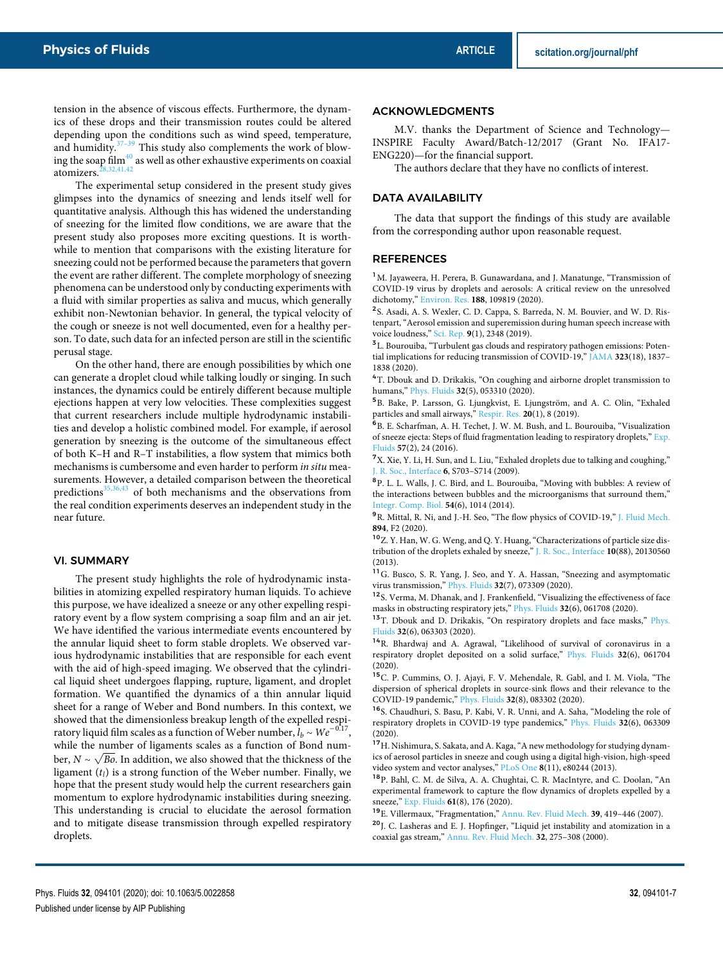tension in the absence of viscous effects. Furthermore, the dynamics of these drops and their transmission routes could be altered depending upon the conditions such as wind speed, temperature, and humidity. $37-39$  This study also complements the work of blowing the soap film $^{40}$  as well as other exhaustive experiments on coaxial atomizers. $28,32,41,42$ 

The experimental setup considered in the present study gives glimpses into the dynamics of sneezing and lends itself well for quantitative analysis. Although this has widened the understanding of sneezing for the limited flow conditions, we are aware that the present study also proposes more exciting questions. It is worthwhile to mention that comparisons with the existing literature for sneezing could not be performed because the parameters that govern the event are rather different. The complete morphology of sneezing phenomena can be understood only by conducting experiments with a fluid with similar properties as saliva and mucus, which generally exhibit non-Newtonian behavior. In general, the typical velocity of the cough or sneeze is not well documented, even for a healthy person. To date, such data for an infected person are still in the scientific perusal stage.

On the other hand, there are enough possibilities by which one can generate a droplet cloud while talking loudly or singing. In such instances, the dynamics could be entirely different because multiple ejections happen at very low velocities. These complexities suggest that current researchers include multiple hydrodynamic instabilities and develop a holistic combined model. For example, if aerosol generation by sneezing is the outcome of the simultaneous effect of both K–H and R–T instabilities, a flow system that mimics both mechanisms is cumbersome and even harder to perform in situ measurements. However, a detailed comparison between the theoretical predictions $35,36,43$  of both mechanisms and the observations from the real condition experiments deserves an independent study in the near future.

#### VI. SUMMARY

The present study highlights the role of hydrodynamic instabilities in atomizing expelled respiratory human liquids. To achieve this purpose, we have idealized a sneeze or any other expelling respiratory event by a flow system comprising a soap film and an air jet. We have identified the various intermediate events encountered by the annular liquid sheet to form stable droplets. We observed various hydrodynamic instabilities that are responsible for each event with the aid of high-speed imaging. We observed that the cylindrical liquid sheet undergoes flapping, rupture, ligament, and droplet formation. We quantified the dynamics of a thin annular liquid sheet for a range of Weber and Bond numbers. In this context, we showed that the dimensionless breakup length of the expelled respiratory liquid film scales as a function of Weber number,  $l_b \sim We^{-0.17}$ , while the number of ligaments scales as a function of Bond number,  $N \sim \sqrt{Bo}$ . In addition, we also showed that the thickness of the ligament  $(t_l)$  is a strong function of the Weber number. Finally, we hope that the present study would help the current researchers gain momentum to explore hydrodynamic instabilities during sneezing. This understanding is crucial to elucidate the aerosol formation and to mitigate disease transmission through expelled respiratory droplets.

#### ACKNOWLEDGMENTS

M.V. thanks the Department of Science and Technology— INSPIRE Faculty Award/Batch-12/2017 (Grant No. IFA17- ENG220)—for the financial support.

The authors declare that they have no conflicts of interest.

#### DATA AVAILABILITY

The data that support the findings of this study are available from the corresponding author upon reasonable request.

#### REFERENCES

<sup>1</sup>M. Jayaweera, H. Perera, B. Gunawardana, and J. Manatunge, "Transmission of COVID-19 virus by droplets and aerosols: A critical review on the unresolved dichotomy," Environ. Res. **188**, 109819 (2020).

<sup>2</sup>S. Asadi, A. S. Wexler, C. D. Cappa, S. Barreda, N. M. Bouvier, and W. D. Ristenpart, "Aerosol emission and superemission during human speech increase with voice loudness," Sci. Rep. **9**(1), 2348 (2019).

<sup>3</sup>L. Bourouiba, "Turbulent gas clouds and respiratory pathogen emissions: Potential implications for reducing transmission of COVID-19," JAMA **323**(18), 1837– 1838 (2020).

<sup>4</sup>T. Dbouk and D. Drikakis, "On coughing and airborne droplet transmission to humans," Phys. Fluids **32**(5), 053310 (2020).

5 B. Bake, P. Larsson, G. Ljungkvist, E. Ljungström, and A. C. Olin, "Exhaled particles and small airways," Respir. Res. **20**(1), 8 (2019).

6 B. E. Scharfman, A. H. Techet, J. W. M. Bush, and L. Bourouiba, "Visualization of sneeze ejecta: Steps of fluid fragmentation leading to respiratory droplets," Exp. Fluids **57**(2), 24 (2016).

<sup>7</sup>X. Xie, Y. Li, H. Sun, and L. Liu, "Exhaled droplets due to talking and coughing," J. R. Soc., Interface **6**, S703–S714 (2009).

<sup>8</sup>P. L. L. Walls, J. C. Bird, and L. Bourouiba, "Moving with bubbles: A review of the interactions between bubbles and the microorganisms that surround them," Integr. Comp. Biol. **54**(6), 1014 (2014).

<sup>9</sup>R. Mittal, R. Ni, and J.-H. Seo, "The flow physics of COVID-19," J. Fluid Mech. **894**, F2 (2020).

<sup>10</sup>Z. Y. Han, W. G. Weng, and Q. Y. Huang, "Characterizations of particle size distribution of the droplets exhaled by sneeze," J. R. Soc., Interface **10**(88), 20130560 (2013).

<sup>11</sup>G. Busco, S. R. Yang, J. Seo, and Y. A. Hassan, "Sneezing and asymptomatic virus transmission," Phys. Fluids **32**(7), 073309 (2020).

<sup>12</sup>S. Verma, M. Dhanak, and J. Frankenfield, "Visualizing the effectiveness of face masks in obstructing respiratory jets," Phys. Fluids **32**(6), 061708 (2020).

<sup>13</sup>T. Dbouk and D. Drikakis, "On respiratory droplets and face masks," Phys. Fluids **32**(6), 063303 (2020).

<sup>14</sup>R. Bhardwaj and A. Agrawal, "Likelihood of survival of coronavirus in a respiratory droplet deposited on a solid surface," Phys. Fluids **32**(6), 061704 (2020).

<sup>15</sup>C. P. Cummins, O. J. Ajayi, F. V. Mehendale, R. Gabl, and I. M. Viola, "The dispersion of spherical droplets in source-sink flows and their relevance to the COVID-19 pandemic," Phys. Fluids **32**(8), 083302 (2020).

<sup>16</sup>S. Chaudhuri, S. Basu, P. Kabi, V. R. Unni, and A. Saha, "Modeling the role of respiratory droplets in COVID-19 type pandemics," Phys. Fluids **32**(6), 063309 (2020).

<sup>17</sup>H. Nishimura, S. Sakata, and A. Kaga, "A new methodology for studying dynamics of aerosol particles in sneeze and cough using a digital high-vision, high-speed video system and vector analyses," PLoS One **8**(11), e80244 (2013).

<sup>18</sup>P. Bahl, C. M. de Silva, A. A. Chughtai, C. R. MacIntyre, and C. Doolan, "An experimental framework to capture the flow dynamics of droplets expelled by a sneeze," Exp. Fluids **61**(8), 176 (2020).

<sup>19</sup>E. Villermaux, "Fragmentation," Annu. Rev. Fluid Mech. **39**, 419–446 (2007).

<sup>20</sup>J. C. Lasheras and E. J. Hopfinger, "Liquid jet instability and atomization in a coaxial gas stream," Annu. Rev. Fluid Mech. **32**, 275–308 (2000).